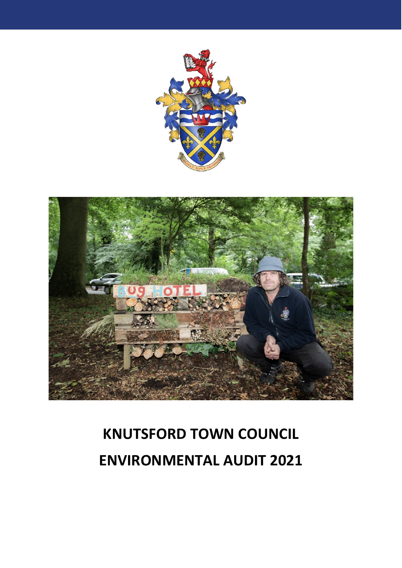



# **KNUTSFORD TOWN COUNCIL ENVIRONMENTAL AUDIT 2021**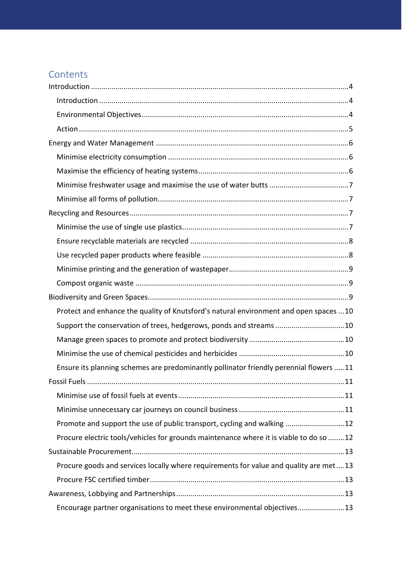## **Contents**

| Protect and enhance the quality of Knutsford's natural environment and open spaces 10  |
|----------------------------------------------------------------------------------------|
| Support the conservation of trees, hedgerows, ponds and streams 10                     |
|                                                                                        |
|                                                                                        |
| Ensure its planning schemes are predominantly pollinator friendly perennial flowers 11 |
|                                                                                        |
|                                                                                        |
|                                                                                        |
| Promote and support the use of public transport, cycling and walking 12                |
| Procure electric tools/vehicles for grounds maintenance where it is viable to do so 12 |
|                                                                                        |
| Procure goods and services locally where requirements for value and quality are met13  |
|                                                                                        |
|                                                                                        |
| Encourage partner organisations to meet these environmental objectives13               |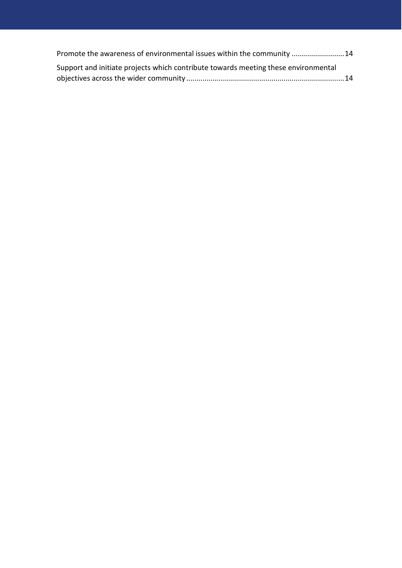| Promote the awareness of environmental issues within the community 14              |  |
|------------------------------------------------------------------------------------|--|
| Support and initiate projects which contribute towards meeting these environmental |  |
|                                                                                    |  |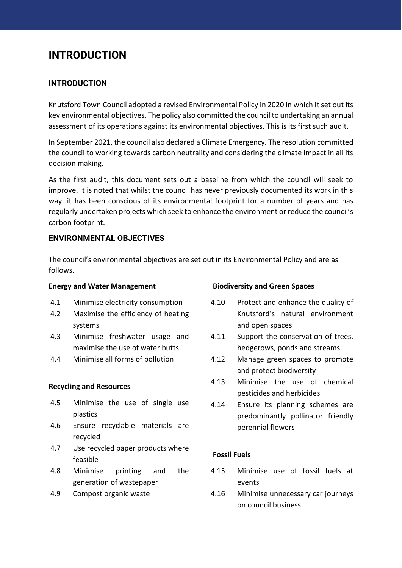# <span id="page-3-0"></span>**INTRODUCTION**

## <span id="page-3-1"></span>**INTRODUCTION**

Knutsford Town Council adopted a revised Environmental Policy in 2020 in which it set out its key environmental objectives. The policy also committed the council to undertaking an annual assessment of its operations against its environmental objectives. This is its first such audit.

In September 2021, the council also declared a Climate Emergency. The resolution committed the council to working towards carbon neutrality and considering the climate impact in all its decision making.

As the first audit, this document sets out a baseline from which the council will seek to improve. It is noted that whilst the council has never previously documented its work in this way, it has been conscious of its environmental footprint for a number of years and has regularly undertaken projects which seek to enhance the environment or reduce the council's carbon footprint.

## <span id="page-3-2"></span>**ENVIRONMENTAL OBJECTIVES**

The council's environmental objectives are set out in its Environmental Policy and are as follows.

#### **Energy and Water Management**

- 4.1 Minimise electricity consumption
- 4.2 Maximise the efficiency of heating systems
- 4.3 Minimise freshwater usage and maximise the use of water butts
- 4.4 Minimise all forms of pollution

## **Recycling and Resources**

- 4.5 Minimise the use of single use plastics
- 4.6 Ensure recyclable materials are recycled
- 4.7 Use recycled paper products where feasible
- 4.8 Minimise printing and the generation of wastepaper
- 4.9 Compost organic waste

## **Biodiversity and Green Spaces**

- 4.10 Protect and enhance the quality of Knutsford's natural environment and open spaces
- 4.11 Support the conservation of trees, hedgerows, ponds and streams
- 4.12 Manage green spaces to promote and protect biodiversity
- 4.13 Minimise the use of chemical pesticides and herbicides
- 4.14 Ensure its planning schemes are predominantly pollinator friendly perennial flowers

## **Fossil Fuels**

- 4.15 Minimise use of fossil fuels at events
- 4.16 Minimise unnecessary car journeys on council business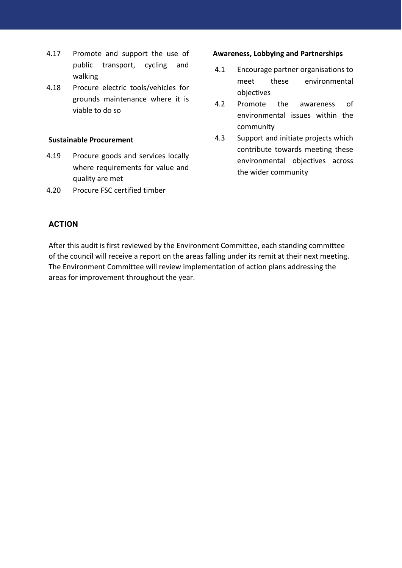- 4.17 Promote and support the use of public transport, cycling and walking
- 4.18 Procure electric tools/vehicles for grounds maintenance where it is viable to do so

#### **Sustainable Procurement**

- 4.19 Procure goods and services locally where requirements for value and quality are met
- 4.20 Procure FSC certified timber

#### **Awareness, Lobbying and Partnerships**

- 4.1 Encourage partner organisations to meet these environmental objectives
- 4.2 Promote the awareness of environmental issues within the community
- 4.3 Support and initiate projects which contribute towards meeting these environmental objectives across the wider community

## <span id="page-4-0"></span>**ACTION**

After this audit is first reviewed by the Environment Committee, each standing committee of the council will receive a report on the areas falling under its remit at their next meeting. The Environment Committee will review implementation of action plans addressing the areas for improvement throughout the year.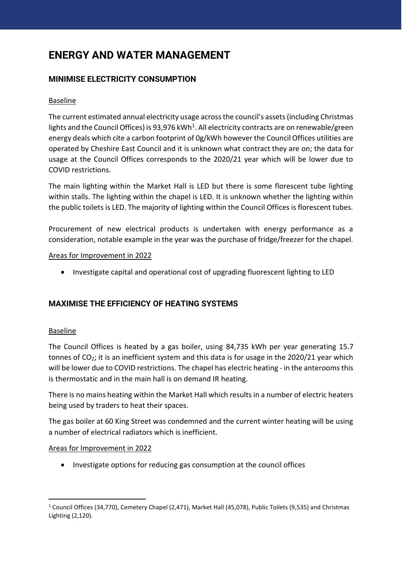# <span id="page-5-0"></span>**ENERGY AND WATER MANAGEMENT**

## <span id="page-5-1"></span>**MINIMISE ELECTRICITY CONSUMPTION**

## Baseline

The current estimated annual electricity usage across the council's assets (including Christmas lights and the Council Offices) is 93,976 kWh<sup>1</sup>. All electricity contracts are on renewable/green energy deals which cite a carbon footprint of 0g/kWh however the Council Offices utilities are operated by Cheshire East Council and it is unknown what contract they are on; the data for usage at the Council Offices corresponds to the 2020/21 year which will be lower due to COVID restrictions.

The main lighting within the Market Hall is LED but there is some florescent tube lighting within stalls. The lighting within the chapel is LED. It is unknown whether the lighting within the public toilets is LED. The majority of lighting within the Council Offices is florescent tubes.

Procurement of new electrical products is undertaken with energy performance as a consideration, notable example in the year was the purchase of fridge/freezer for the chapel.

## Areas for Improvement in 2022

• Investigate capital and operational cost of upgrading fluorescent lighting to LED

## <span id="page-5-2"></span>**MAXIMISE THE EFFICIENCY OF HEATING SYSTEMS**

## Baseline

The Council Offices is heated by a gas boiler, using 84,735 kWh per year generating 15.7 tonnes of  $CO<sub>2</sub>$ ; it is an inefficient system and this data is for usage in the 2020/21 year which will be lower due to COVID restrictions. The chapel has electric heating - in the anterooms this is thermostatic and in the main hall is on demand IR heating.

There is no mains heating within the Market Hall which results in a number of electric heaters being used by traders to heat their spaces.

The gas boiler at 60 King Street was condemned and the current winter heating will be using a number of electrical radiators which is inefficient.

## Areas for Improvement in 2022

• Investigate options for reducing gas consumption at the council offices

<sup>1</sup> Council Offices (34,770), Cemetery Chapel (2,471), Market Hall (45,078), Public Toilets (9,535) and Christmas Lighting (2,120).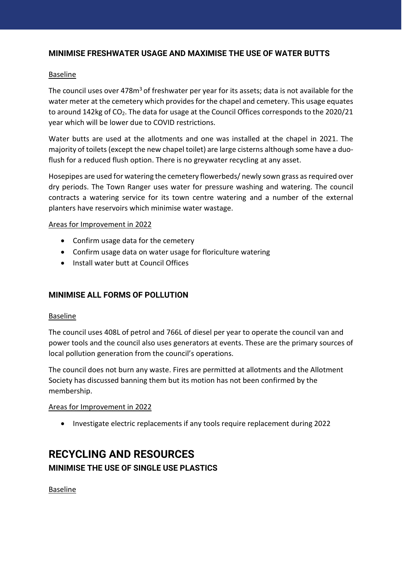## <span id="page-6-0"></span>**MINIMISE FRESHWATER USAGE AND MAXIMISE THE USE OF WATER BUTTS**

## Baseline

The council uses over  $478m<sup>3</sup>$  of freshwater per year for its assets; data is not available for the water meter at the cemetery which provides for the chapel and cemetery. This usage equates to around 142kg of CO<sub>2</sub>. The data for usage at the Council Offices corresponds to the 2020/21 year which will be lower due to COVID restrictions.

Water butts are used at the allotments and one was installed at the chapel in 2021. The majority of toilets (except the new chapel toilet) are large cisterns although some have a duoflush for a reduced flush option. There is no greywater recycling at any asset.

Hosepipes are used for watering the cemetery flowerbeds/ newly sown grass as required over dry periods. The Town Ranger uses water for pressure washing and watering. The council contracts a watering service for its town centre watering and a number of the external planters have reservoirs which minimise water wastage.

## Areas for Improvement in 2022

- Confirm usage data for the cemetery
- Confirm usage data on water usage for floriculture watering
- Install water butt at Council Offices

## <span id="page-6-1"></span>**MINIMISE ALL FORMS OF POLLUTION**

## Baseline

The council uses 408L of petrol and 766L of diesel per year to operate the council van and power tools and the council also uses generators at events. These are the primary sources of local pollution generation from the council's operations.

The council does not burn any waste. Fires are permitted at allotments and the Allotment Society has discussed banning them but its motion has not been confirmed by the membership.

## Areas for Improvement in 2022

• Investigate electric replacements if any tools require replacement during 2022

# <span id="page-6-3"></span><span id="page-6-2"></span>**RECYCLING AND RESOURCES MINIMISE THE USE OF SINGLE USE PLASTICS**

Baseline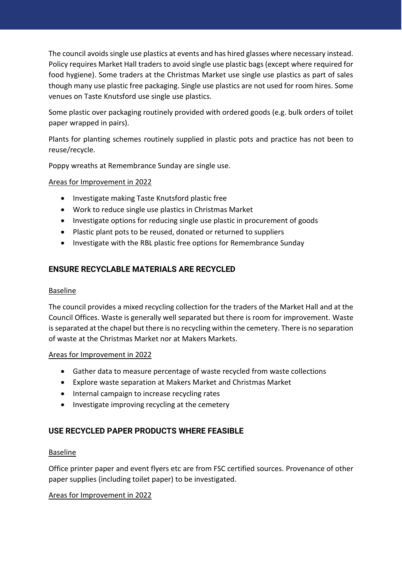The council avoids single use plastics at events and has hired glasses where necessary instead. Policy requires Market Hall traders to avoid single use plastic bags (except where required for food hygiene). Some traders at the Christmas Market use single use plastics as part of sales though many use plastic free packaging. Single use plastics are not used for room hires. Some venues on Taste Knutsford use single use plastics.

Some plastic over packaging routinely provided with ordered goods (e.g. bulk orders of toilet paper wrapped in pairs).

Plants for planting schemes routinely supplied in plastic pots and practice has not been to reuse/recycle.

Poppy wreaths at Remembrance Sunday are single use.

## Areas for Improvement in 2022

- Investigate making Taste Knutsford plastic free
- Work to reduce single use plastics in Christmas Market
- Investigate options for reducing single use plastic in procurement of goods
- Plastic plant pots to be reused, donated or returned to suppliers
- Investigate with the RBL plastic free options for Remembrance Sunday

## <span id="page-7-0"></span>**ENSURE RECYCLABLE MATERIALS ARE RECYCLED**

## Baseline

The council provides a mixed recycling collection for the traders of the Market Hall and at the Council Offices. Waste is generally well separated but there is room for improvement. Waste is separated at the chapel but there is no recycling within the cemetery. There is no separation of waste at the Christmas Market nor at Makers Markets.

## Areas for Improvement in 2022

- Gather data to measure percentage of waste recycled from waste collections
- Explore waste separation at Makers Market and Christmas Market
- Internal campaign to increase recycling rates
- Investigate improving recycling at the cemetery

## <span id="page-7-1"></span>**USE RECYCLED PAPER PRODUCTS WHERE FEASIBLE**

## Baseline

Office printer paper and event flyers etc are from FSC certified sources. Provenance of other paper supplies (including toilet paper) to be investigated.

## Areas for Improvement in 2022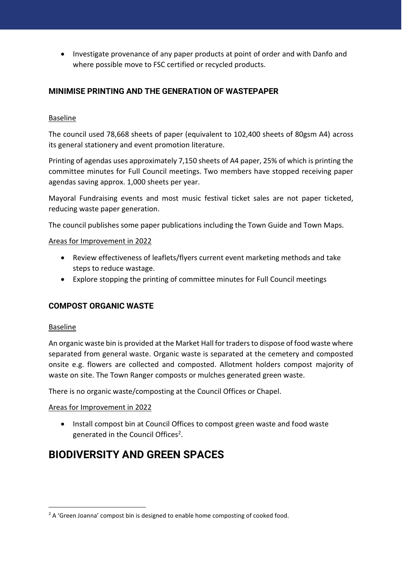• Investigate provenance of any paper products at point of order and with Danfo and where possible move to FSC certified or recycled products.

## <span id="page-8-0"></span>**MINIMISE PRINTING AND THE GENERATION OF WASTEPAPER**

## Baseline

The council used 78,668 sheets of paper (equivalent to 102,400 sheets of 80gsm A4) across its general stationery and event promotion literature.

Printing of agendas uses approximately 7,150 sheets of A4 paper, 25% of which is printing the committee minutes for Full Council meetings. Two members have stopped receiving paper agendas saving approx. 1,000 sheets per year.

Mayoral Fundraising events and most music festival ticket sales are not paper ticketed, reducing waste paper generation.

The council publishes some paper publications including the Town Guide and Town Maps.

## Areas for Improvement in 2022

- Review effectiveness of leaflets/flyers current event marketing methods and take steps to reduce wastage.
- Explore stopping the printing of committee minutes for Full Council meetings

## <span id="page-8-1"></span>**COMPOST ORGANIC WASTE**

## Baseline

An organic waste bin is provided at the Market Hall for traders to dispose of food waste where separated from general waste. Organic waste is separated at the cemetery and composted onsite e.g. flowers are collected and composted. Allotment holders compost majority of waste on site. The Town Ranger composts or mulches generated green waste.

There is no organic waste/composting at the Council Offices or Chapel.

## Areas for Improvement in 2022

• Install compost bin at Council Offices to compost green waste and food waste generated in the Council Offices<sup>2</sup>.

# <span id="page-8-2"></span>**BIODIVERSITY AND GREEN SPACES**

<sup>&</sup>lt;sup>2</sup> A 'Green Joanna' compost bin is designed to enable home composting of cooked food.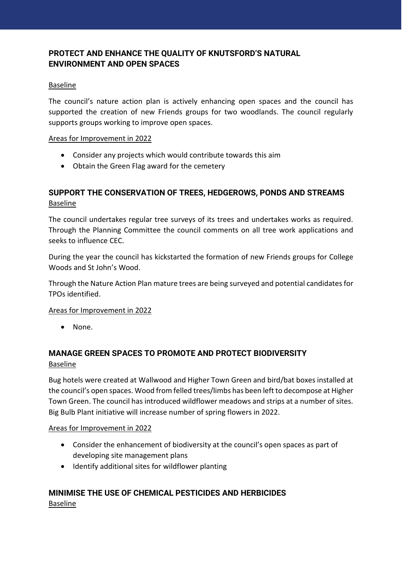## <span id="page-9-0"></span>**PROTECT AND ENHANCE THE QUALITY OF KNUTSFORD'S NATURAL ENVIRONMENT AND OPEN SPACES**

## Baseline

The council's nature action plan is actively enhancing open spaces and the council has supported the creation of new Friends groups for two woodlands. The council regularly supports groups working to improve open spaces.

## Areas for Improvement in 2022

- Consider any projects which would contribute towards this aim
- Obtain the Green Flag award for the cemetery

## <span id="page-9-1"></span>**SUPPORT THE CONSERVATION OF TREES, HEDGEROWS, PONDS AND STREAMS** Baseline

The council undertakes regular tree surveys of its trees and undertakes works as required. Through the Planning Committee the council comments on all tree work applications and seeks to influence CEC.

During the year the council has kickstarted the formation of new Friends groups for College Woods and St John's Wood.

Through the Nature Action Plan mature trees are being surveyed and potential candidates for TPOs identified.

## Areas for Improvement in 2022

• None.

## <span id="page-9-2"></span>**MANAGE GREEN SPACES TO PROMOTE AND PROTECT BIODIVERSITY**  Baseline

Bug hotels were created at Wallwood and Higher Town Green and bird/bat boxes installed at the council's open spaces. Wood from felled trees/limbs has been left to decompose at Higher Town Green. The council has introduced wildflower meadows and strips at a number of sites. Big Bulb Plant initiative will increase number of spring flowers in 2022.

## Areas for Improvement in 2022

- Consider the enhancement of biodiversity at the council's open spaces as part of developing site management plans
- Identify additional sites for wildflower planting

## <span id="page-9-3"></span>**MINIMISE THE USE OF CHEMICAL PESTICIDES AND HERBICIDES**  Baseline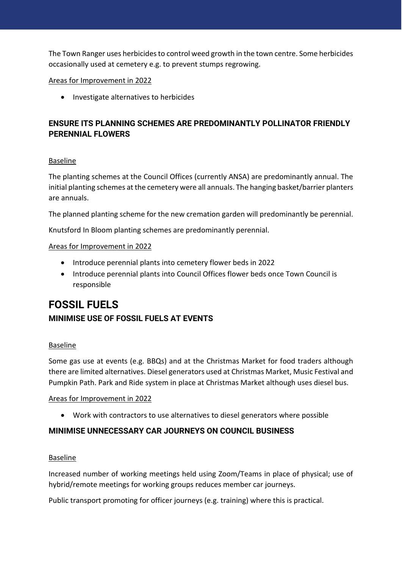The Town Ranger uses herbicides to control weed growth in the town centre. Some herbicides occasionally used at cemetery e.g. to prevent stumps regrowing.

## Areas for Improvement in 2022

• Investigate alternatives to herbicides

## <span id="page-10-0"></span>**ENSURE ITS PLANNING SCHEMES ARE PREDOMINANTLY POLLINATOR FRIENDLY PERENNIAL FLOWERS**

## Baseline

The planting schemes at the Council Offices (currently ANSA) are predominantly annual. The initial planting schemes at the cemetery were all annuals. The hanging basket/barrier planters are annuals.

The planned planting scheme for the new cremation garden will predominantly be perennial.

Knutsford In Bloom planting schemes are predominantly perennial.

## Areas for Improvement in 2022

- Introduce perennial plants into cemetery flower beds in 2022
- Introduce perennial plants into Council Offices flower beds once Town Council is responsible

# <span id="page-10-2"></span><span id="page-10-1"></span>**FOSSIL FUELS MINIMISE USE OF FOSSIL FUELS AT EVENTS**

## **Baseline**

Some gas use at events (e.g. BBQs) and at the Christmas Market for food traders although there are limited alternatives. Diesel generators used at Christmas Market, Music Festival and Pumpkin Path. Park and Ride system in place at Christmas Market although uses diesel bus.

## Areas for Improvement in 2022

• Work with contractors to use alternatives to diesel generators where possible

## <span id="page-10-3"></span>**MINIMISE UNNECESSARY CAR JOURNEYS ON COUNCIL BUSINESS**

## Baseline

Increased number of working meetings held using Zoom/Teams in place of physical; use of hybrid/remote meetings for working groups reduces member car journeys.

Public transport promoting for officer journeys (e.g. training) where this is practical.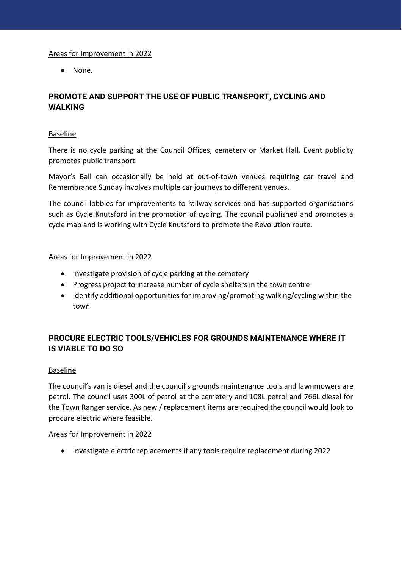## Areas for Improvement in 2022

• None.

## <span id="page-11-0"></span>**PROMOTE AND SUPPORT THE USE OF PUBLIC TRANSPORT, CYCLING AND WALKING**

## Baseline

There is no cycle parking at the Council Offices, cemetery or Market Hall. Event publicity promotes public transport.

Mayor's Ball can occasionally be held at out-of-town venues requiring car travel and Remembrance Sunday involves multiple car journeys to different venues.

The council lobbies for improvements to railway services and has supported organisations such as Cycle Knutsford in the promotion of cycling. The council published and promotes a cycle map and is working with Cycle Knutsford to promote the Revolution route.

## Areas for Improvement in 2022

- Investigate provision of cycle parking at the cemetery
- Progress project to increase number of cycle shelters in the town centre
- Identify additional opportunities for improving/promoting walking/cycling within the town

## <span id="page-11-1"></span>**PROCURE ELECTRIC TOOLS/VEHICLES FOR GROUNDS MAINTENANCE WHERE IT IS VIABLE TO DO SO**

## Baseline

The council's van is diesel and the council's grounds maintenance tools and lawnmowers are petrol. The council uses 300L of petrol at the cemetery and 108L petrol and 766L diesel for the Town Ranger service. As new / replacement items are required the council would look to procure electric where feasible.

## Areas for Improvement in 2022

• Investigate electric replacements if any tools require replacement during 2022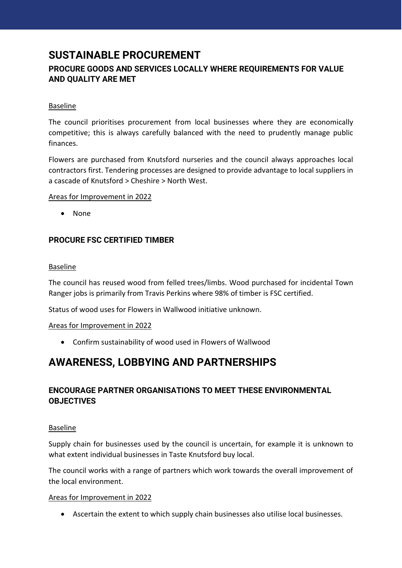# <span id="page-12-0"></span>**SUSTAINABLE PROCUREMENT**

## <span id="page-12-1"></span>**PROCURE GOODS AND SERVICES LOCALLY WHERE REQUIREMENTS FOR VALUE AND QUALITY ARE MET**

## Baseline

The council prioritises procurement from local businesses where they are economically competitive; this is always carefully balanced with the need to prudently manage public finances.

Flowers are purchased from Knutsford nurseries and the council always approaches local contractors first. Tendering processes are designed to provide advantage to local suppliers in a cascade of Knutsford > Cheshire > North West.

## Areas for Improvement in 2022

• None

## <span id="page-12-2"></span>**PROCURE FSC CERTIFIED TIMBER**

## Baseline

The council has reused wood from felled trees/limbs. Wood purchased for incidental Town Ranger jobs is primarily from Travis Perkins where 98% of timber is FSC certified.

Status of wood uses for Flowers in Wallwood initiative unknown.

## Areas for Improvement in 2022

• Confirm sustainability of wood used in Flowers of Wallwood

# <span id="page-12-3"></span>**AWARENESS, LOBBYING AND PARTNERSHIPS**

## <span id="page-12-4"></span>**ENCOURAGE PARTNER ORGANISATIONS TO MEET THESE ENVIRONMENTAL OBJECTIVES**

## Baseline

Supply chain for businesses used by the council is uncertain, for example it is unknown to what extent individual businesses in Taste Knutsford buy local.

The council works with a range of partners which work towards the overall improvement of the local environment.

## Areas for Improvement in 2022

• Ascertain the extent to which supply chain businesses also utilise local businesses.